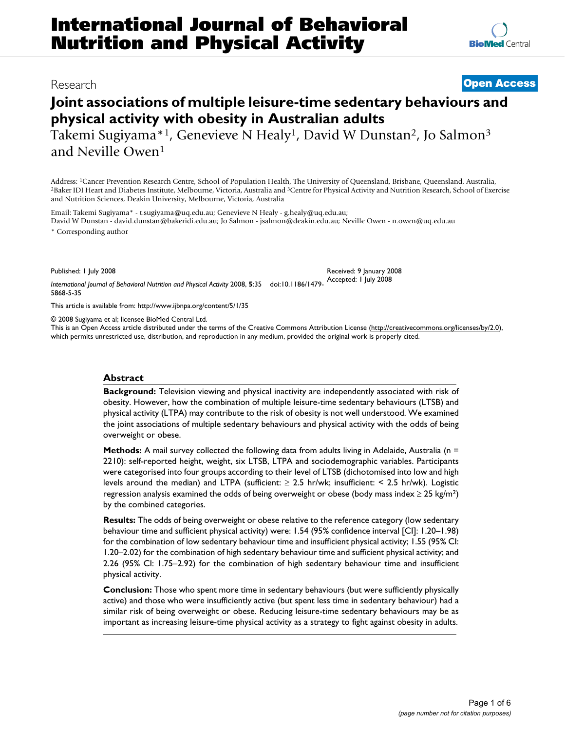## Research **[Open Access](http://www.biomedcentral.com/info/about/charter/)**

# **Joint associations of multiple leisure-time sedentary behaviours and physical activity with obesity in Australian adults**

Takemi Sugiyama\*<sup>1</sup>, Genevieve N Healy<sup>1</sup>, David W Dunstan<sup>2</sup>, Jo Salmon<sup>3</sup> and Neville Owen1

Address: <sup>1</sup>Cancer Prevention Research Centre, School of Population Health, The University of Queensland, Brisbane, Queensland, Australia, Australia, Australia, Australia, Australia, Australia, Paker IDI Heart and Diabetes and Nutrition Sciences, Deakin University, Melbourne, Victoria, Australia

Email: Takemi Sugiyama\* - t.sugiyama@uq.edu.au; Genevieve N Healy - g.healy@uq.edu.au; David W Dunstan - david.dunstan@bakeridi.edu.au; Jo Salmon - jsalmon@deakin.edu.au; Neville Owen - n.owen@uq.edu.au

\* Corresponding author

Published: 1 July 2008

5868-5-35

*International Journal of Behavioral Nutrition and Physical Activity* 2008, **5**:35 doi:10.1186/1479- Accepted: 1 July 2008 Received: 9 January 2008

[This article is available from: http://www.ijbnpa.org/content/5/1/35](http://www.ijbnpa.org/content/5/1/35)

© 2008 Sugiyama et al; licensee BioMed Central Ltd.

This is an Open Access article distributed under the terms of the Creative Commons Attribution License [\(http://creativecommons.org/licenses/by/2.0\)](http://creativecommons.org/licenses/by/2.0), which permits unrestricted use, distribution, and reproduction in any medium, provided the original work is properly cited.

#### **Abstract**

**Background:** Television viewing and physical inactivity are independently associated with risk of obesity. However, how the combination of multiple leisure-time sedentary behaviours (LTSB) and physical activity (LTPA) may contribute to the risk of obesity is not well understood. We examined the joint associations of multiple sedentary behaviours and physical activity with the odds of being overweight or obese.

**Methods:** A mail survey collected the following data from adults living in Adelaide, Australia (n = 2210): self-reported height, weight, six LTSB, LTPA and sociodemographic variables. Participants were categorised into four groups according to their level of LTSB (dichotomised into low and high levels around the median) and LTPA (sufficient: ≥ 2.5 hr/wk; insufficient: < 2.5 hr/wk). Logistic regression analysis examined the odds of being overweight or obese (body mass index  $\geq 25$  kg/m<sup>2</sup>) by the combined categories.

**Results:** The odds of being overweight or obese relative to the reference category (low sedentary behaviour time and sufficient physical activity) were: 1.54 (95% confidence interval [CI]: 1.20–1.98) for the combination of low sedentary behaviour time and insufficient physical activity; 1.55 (95% CI: 1.20–2.02) for the combination of high sedentary behaviour time and sufficient physical activity; and 2.26 (95% CI: 1.75–2.92) for the combination of high sedentary behaviour time and insufficient physical activity.

**Conclusion:** Those who spent more time in sedentary behaviours (but were sufficiently physically active) and those who were insufficiently active (but spent less time in sedentary behaviour) had a similar risk of being overweight or obese. Reducing leisure-time sedentary behaviours may be as important as increasing leisure-time physical activity as a strategy to fight against obesity in adults.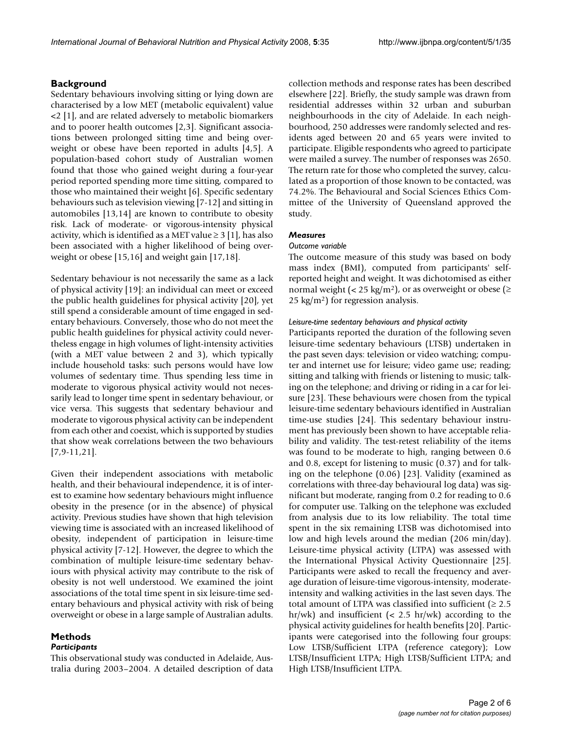### **Background**

Sedentary behaviours involving sitting or lying down are characterised by a low MET (metabolic equivalent) value <2 [1], and are related adversely to metabolic biomarkers and to poorer health outcomes [2,3]. Significant associations between prolonged sitting time and being overweight or obese have been reported in adults [4,5]. A population-based cohort study of Australian women found that those who gained weight during a four-year period reported spending more time sitting, compared to those who maintained their weight [6]. Specific sedentary behaviours such as television viewing [7-12] and sitting in automobiles [13,14] are known to contribute to obesity risk. Lack of moderate- or vigorous-intensity physical activity, which is identified as a MET value  $\geq$  3 [1], has also been associated with a higher likelihood of being overweight or obese [15,16] and weight gain [17,18].

Sedentary behaviour is not necessarily the same as a lack of physical activity [19]: an individual can meet or exceed the public health guidelines for physical activity [20], yet still spend a considerable amount of time engaged in sedentary behaviours. Conversely, those who do not meet the public health guidelines for physical activity could nevertheless engage in high volumes of light-intensity activities (with a MET value between 2 and 3), which typically include household tasks: such persons would have low volumes of sedentary time. Thus spending less time in moderate to vigorous physical activity would not necessarily lead to longer time spent in sedentary behaviour, or vice versa. This suggests that sedentary behaviour and moderate to vigorous physical activity can be independent from each other and coexist, which is supported by studies that show weak correlations between the two behaviours [7,9-11,21].

Given their independent associations with metabolic health, and their behavioural independence, it is of interest to examine how sedentary behaviours might influence obesity in the presence (or in the absence) of physical activity. Previous studies have shown that high television viewing time is associated with an increased likelihood of obesity, independent of participation in leisure-time physical activity [7-12]. However, the degree to which the combination of multiple leisure-time sedentary behaviours with physical activity may contribute to the risk of obesity is not well understood. We examined the joint associations of the total time spent in six leisure-time sedentary behaviours and physical activity with risk of being overweight or obese in a large sample of Australian adults.

## **Methods**

## *Participants*

This observational study was conducted in Adelaide, Australia during 2003–2004. A detailed description of data collection methods and response rates has been described elsewhere [22]. Briefly, the study sample was drawn from residential addresses within 32 urban and suburban neighbourhoods in the city of Adelaide. In each neighbourhood, 250 addresses were randomly selected and residents aged between 20 and 65 years were invited to participate. Eligible respondents who agreed to participate were mailed a survey. The number of responses was 2650. The return rate for those who completed the survey, calculated as a proportion of those known to be contacted, was 74.2%. The Behavioural and Social Sciences Ethics Committee of the University of Queensland approved the study.

## *Measures*

#### *Outcome variable*

The outcome measure of this study was based on body mass index (BMI), computed from participants' selfreported height and weight. It was dichotomised as either normal weight (< 25 kg/m<sup>2</sup>), or as overweight or obese ( $\ge$  $25 \text{ kg/m}^2$ ) for regression analysis.

#### *Leisure-time sedentary behaviours and physical activity*

Participants reported the duration of the following seven leisure-time sedentary behaviours (LTSB) undertaken in the past seven days: television or video watching; computer and internet use for leisure; video game use; reading; sitting and talking with friends or listening to music; talking on the telephone; and driving or riding in a car for leisure [23]. These behaviours were chosen from the typical leisure-time sedentary behaviours identified in Australian time-use studies [24]. This sedentary behaviour instrument has previously been shown to have acceptable reliability and validity. The test-retest reliability of the items was found to be moderate to high, ranging between 0.6 and 0.8, except for listening to music (0.37) and for talking on the telephone (0.06) [23]. Validity (examined as correlations with three-day behavioural log data) was significant but moderate, ranging from 0.2 for reading to 0.6 for computer use. Talking on the telephone was excluded from analysis due to its low reliability. The total time spent in the six remaining LTSB was dichotomised into low and high levels around the median (206 min/day). Leisure-time physical activity (LTPA) was assessed with the International Physical Activity Questionnaire [25]. Participants were asked to recall the frequency and average duration of leisure-time vigorous-intensity, moderateintensity and walking activities in the last seven days. The total amount of LTPA was classified into sufficient ( $\geq 2.5$ ) hr/wk) and insufficient  $\left($  < 2.5 hr/wk) according to the physical activity guidelines for health benefits [20]. Participants were categorised into the following four groups: Low LTSB/Sufficient LTPA (reference category); Low LTSB/Insufficient LTPA; High LTSB/Sufficient LTPA; and High LTSB/Insufficient LTPA.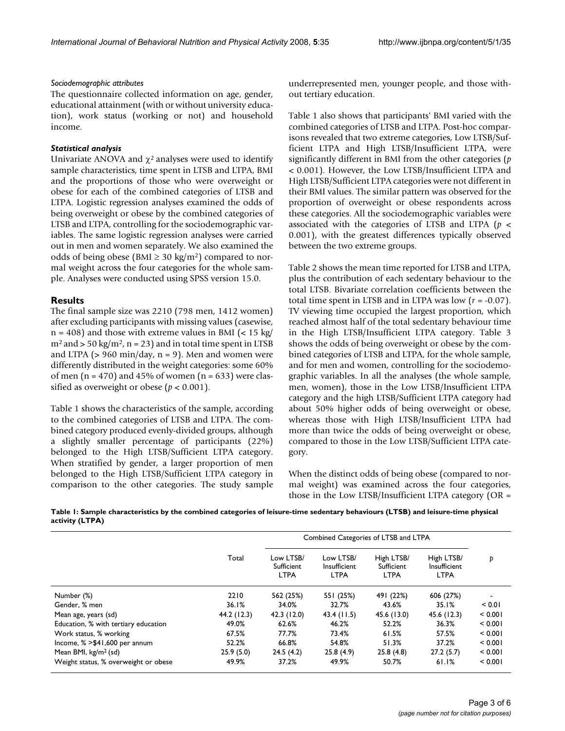#### *Sociodemographic attributes*

The questionnaire collected information on age, gender, educational attainment (with or without university education), work status (working or not) and household income.

#### *Statistical analysis*

Univariate ANOVA and  $\chi^2$  analyses were used to identify sample characteristics, time spent in LTSB and LTPA, BMI and the proportions of those who were overweight or obese for each of the combined categories of LTSB and LTPA. Logistic regression analyses examined the odds of being overweight or obese by the combined categories of LTSB and LTPA, controlling for the sociodemographic variables. The same logistic regression analyses were carried out in men and women separately. We also examined the odds of being obese (BMI  $\geq$  30 kg/m<sup>2</sup>) compared to normal weight across the four categories for the whole sample. Analyses were conducted using SPSS version 15.0.

#### **Results**

The final sample size was 2210 (798 men, 1412 women) after excluding participants with missing values (casewise,  $n = 408$ ) and those with extreme values in BMI (< 15 kg/  $m^2$  and  $> 50$  kg/m<sup>2</sup>, n = 23) and in total time spent in LTSB and LTPA ( $> 960$  min/day, n = 9). Men and women were differently distributed in the weight categories: some 60% of men (n = 470) and 45% of women (n = 633) were classified as overweight or obese (*p* < 0.001).

Table 1 shows the characteristics of the sample, according to the combined categories of LTSB and LTPA. The combined category produced evenly-divided groups, although a slightly smaller percentage of participants (22%) belonged to the High LTSB/Sufficient LTPA category. When stratified by gender, a larger proportion of men belonged to the High LTSB/Sufficient LTPA category in comparison to the other categories. The study sample underrepresented men, younger people, and those without tertiary education.

Table 1 also shows that participants' BMI varied with the combined categories of LTSB and LTPA. Post-hoc comparisons revealed that two extreme categories, Low LTSB/Sufficient LTPA and High LTSB/Insufficient LTPA, were significantly different in BMI from the other categories (*p* < 0.001). However, the Low LTSB/Insufficient LTPA and High LTSB/Sufficient LTPA categories were not different in their BMI values. The similar pattern was observed for the proportion of overweight or obese respondents across these categories. All the sociodemographic variables were associated with the categories of LTSB and LTPA (*p* < 0.001), with the greatest differences typically observed between the two extreme groups.

Table 2 shows the mean time reported for LTSB and LTPA, plus the contribution of each sedentary behaviour to the total LTSB. Bivariate correlation coefficients between the total time spent in LTSB and in LTPA was low (*r* = -0.07). TV viewing time occupied the largest proportion, which reached almost half of the total sedentary behaviour time in the High LTSB/Insufficient LTPA category. Table 3 shows the odds of being overweight or obese by the combined categories of LTSB and LTPA, for the whole sample, and for men and women, controlling for the sociodemographic variables. In all the analyses (the whole sample, men, women), those in the Low LTSB/Insufficient LTPA category and the high LTSB/Sufficient LTPA category had about 50% higher odds of being overweight or obese, whereas those with High LTSB/Insufficient LTPA had more than twice the odds of being overweight or obese, compared to those in the Low LTSB/Sufficient LTPA category.

When the distinct odds of being obese (compared to normal weight) was examined across the four categories, those in the Low LTSB/Insufficient LTPA category  $(OR =$ 

| Table 1: Sample characteristics by the combined categories of leisure-time sedentary behaviours (LTSB) and leisure-time physical |  |
|----------------------------------------------------------------------------------------------------------------------------------|--|
| activity (LTPA)                                                                                                                  |  |

|                                      | Combined Categories of LTSB and LTPA |                                        |                                          |                                         |                                           |         |  |
|--------------------------------------|--------------------------------------|----------------------------------------|------------------------------------------|-----------------------------------------|-------------------------------------------|---------|--|
|                                      | Total                                | Low LTSB/<br>Sufficient<br><b>LTPA</b> | Low LTSB/<br>Insufficient<br><b>LTPA</b> | High LTSB/<br>Sufficient<br><b>LTPA</b> | High LTSB/<br>Insufficient<br><b>LTPA</b> | Þ       |  |
| Number (%)                           | 2210                                 | 562 (25%)                              | 551 (25%)                                | 491 (22%)                               | 606 (27%)                                 |         |  |
| Gender, % men                        | 36.1%                                | 34.0%                                  | 32.7%                                    | 43.6%                                   | 35.1%                                     | < 0.01  |  |
| Mean age, years (sd)                 | 44.2(12.3)                           | 42.3(12.0)                             | $43.4$ (11.5)                            | 45.6 (13.0)                             | 45.6(12.3)                                | < 0.001 |  |
| Education, % with tertiary education | 49.0%                                | 62.6%                                  | 46.2%                                    | 52.2%                                   | 36.3%                                     | < 0.001 |  |
| Work status, % working               | 67.5%                                | 77.7%                                  | 73.4%                                    | 61.5%                                   | 57.5%                                     | < 0.001 |  |
| Income, $% > $41,600$ per annum      | 52.2%                                | 66.8%                                  | 54.8%                                    | 51.3%                                   | 37.2%                                     | < 0.001 |  |
| Mean BMI, kg/m <sup>2</sup> (sd)     | 25.9(5.0)                            | 24.5(4.2)                              | 25.8(4.9)                                | 25.8(4.8)                               | 27.2(5.7)                                 | < 0.001 |  |
| Weight status, % overweight or obese | 49.9%                                | 37.2%                                  | 49.9%                                    | 50.7%                                   | 61.1%                                     | < 0.001 |  |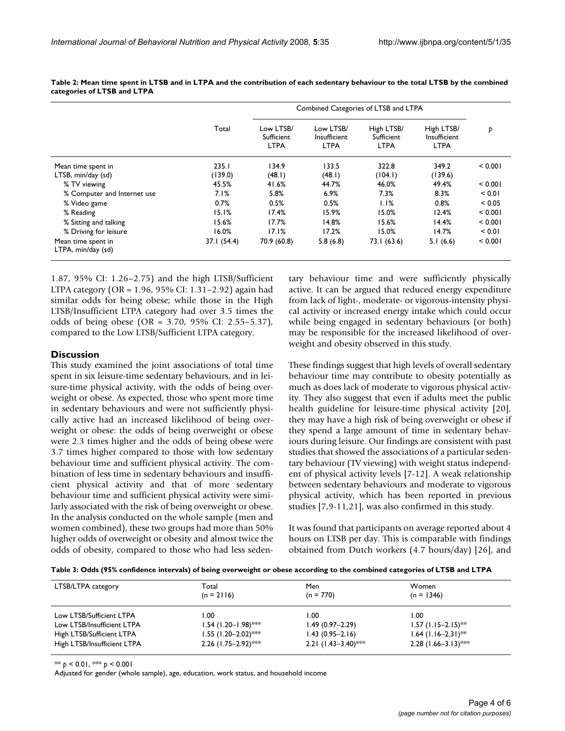|                                          |            | Combined Categories of LTSB and LTPA   |                                          |                                         |                                           |         |
|------------------------------------------|------------|----------------------------------------|------------------------------------------|-----------------------------------------|-------------------------------------------|---------|
|                                          | Total      | Low LTSB/<br>Sufficient<br><b>LTPA</b> | Low LTSB/<br>Insufficient<br><b>LTPA</b> | High LTSB/<br>Sufficient<br><b>LTPA</b> | High LTSB/<br>Insufficient<br><b>LTPA</b> | Þ       |
| Mean time spent in                       | 235.1      | 134.9                                  | 133.5                                    | 322.8                                   | 349.2                                     | < 0.001 |
| LTSB, min/day (sd)                       | (139.0)    | (48.1)                                 | (48.1)                                   | (104.1)                                 | (139.6)                                   |         |
| % TV viewing                             | 45.5%      | 41.6%                                  | 44.7%                                    | 46.0%                                   | 49.4%                                     | < 0.001 |
| % Computer and Internet use              | 7.1%       | 5.8%                                   | 6.9%                                     | 7.3%                                    | 8.3%                                      | < 0.01  |
| % Video game                             | 0.7%       | 0.5%                                   | 0.5%                                     | 1.1%                                    | 0.8%                                      | < 0.05  |
| % Reading                                | 15.1%      | 17.4%                                  | 15.9%                                    | 15.0%                                   | 12.4%                                     | < 0.001 |
| % Sitting and talking                    | 15.6%      | 17.7%                                  | 14.8%                                    | 15.6%                                   | 14.4%                                     | < 0.001 |
| % Driving for leisure                    | 16.0%      | 17.1%                                  | 17.2%                                    | 15.0%                                   | 14.7%                                     | < 0.01  |
| Mean time spent in<br>LTPA, min/day (sd) | 37.1(54.4) | 70.9 (60.8)                            | 5.8(6.8)                                 | 73.1 (63.6)                             | 5.1(6.6)                                  | < 0.001 |

**Table 2: Mean time spent in LTSB and in LTPA and the contribution of each sedentary behaviour to the total LTSB by the combined categories of LTSB and LTPA**

1.87, 95% CI: 1.26–2.75) and the high LTSB/Sufficient LTPA category (OR = 1.96, 95% CI: 1.31–2.92) again had similar odds for being obese; while those in the High LTSB/Insufficient LTPA category had over 3.5 times the odds of being obese (OR = 3.70, 95% CI: 2.55–5.37), compared to the Low LTSB/Sufficient LTPA category.

#### **Discussion**

This study examined the joint associations of total time spent in six leisure-time sedentary behaviours, and in leisure-time physical activity, with the odds of being overweight or obese. As expected, those who spent more time in sedentary behaviours and were not sufficiently physically active had an increased likelihood of being overweight or obese: the odds of being overweight or obese were 2.3 times higher and the odds of being obese were 3.7 times higher compared to those with low sedentary behaviour time and sufficient physical activity. The combination of less time in sedentary behaviours and insufficient physical activity and that of more sedentary behaviour time and sufficient physical activity were similarly associated with the risk of being overweight or obese. In the analysis conducted on the whole sample (men and women combined), these two groups had more than 50% higher odds of overweight or obesity and almost twice the odds of obesity, compared to those who had less sedentary behaviour time and were sufficiently physically active. It can be argued that reduced energy expenditure from lack of light-, moderate- or vigorous-intensity physical activity or increased energy intake which could occur while being engaged in sedentary behaviours (or both) may be responsible for the increased likelihood of overweight and obesity observed in this study.

These findings suggest that high levels of overall sedentary behaviour time may contribute to obesity potentially as much as does lack of moderate to vigorous physical activity. They also suggest that even if adults meet the public health guideline for leisure-time physical activity [20], they may have a high risk of being overweight or obese if they spend a large amount of time in sedentary behaviours during leisure. Our findings are consistent with past studies that showed the associations of a particular sedentary behaviour (TV viewing) with weight status independent of physical activity levels [7-12]. A weak relationship between sedentary behaviours and moderate to vigorous physical activity, which has been reported in previous studies [7,9-11,21], was also confirmed in this study.

It was found that participants on average reported about 4 hours on LTSB per day. This is comparable with findings obtained from Dutch workers (4.7 hours/day) [26], and

**Table 3: Odds (95% confidence intervals) of being overweight or obese according to the combined categories of LTSB and LTPA**

| LTSB/LTPA category          | Total                 | Men                      | Women                            |
|-----------------------------|-----------------------|--------------------------|----------------------------------|
|                             | $(n = 2116)$          | $(n = 770)$              | $(n = 1346)$                     |
| Low LTSB/Sufficient LTPA    | L.OO.                 | I.OO                     | 00. ا                            |
| Low LTSB/Insufficient LTPA  | $1.54$ (1.20-1.98)*** | $1.49(0.97-2.29)$        | $1.57$ (1.15–2.15) <sup>**</sup> |
| High LTSB/Sufficient LTPA   | $1.55$ (1.20-2.02)*** | $1.43(0.95 - 2.16)$      | $1.64$ (1.16–2.31) <sup>**</sup> |
| High LTSB/Insufficient LTPA | $2.26$ (1.75-2.92)*** | 2.21 $(1.43 - 3.40)$ *** | $2.28$ (1.66-3.13)***            |

\*\* *p* < 0.01, \*\*\* *p* < 0.001

Adjusted for gender (whole sample), age, education, work status, and household income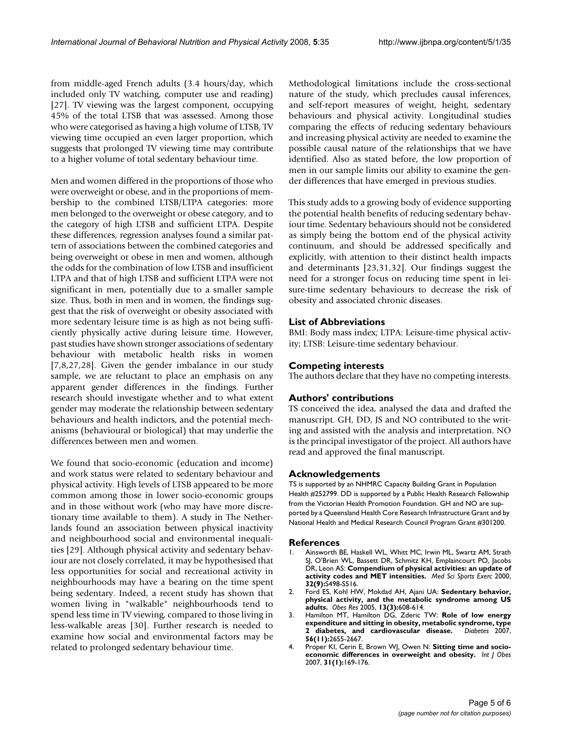from middle-aged French adults (3.4 hours/day, which included only TV watching, computer use and reading) [27]. TV viewing was the largest component, occupying 45% of the total LTSB that was assessed. Among those who were categorised as having a high volume of LTSB, TV viewing time occupied an even larger proportion, which suggests that prolonged TV viewing time may contribute to a higher volume of total sedentary behaviour time.

Men and women differed in the proportions of those who were overweight or obese, and in the proportions of membership to the combined LTSB/LTPA categories: more men belonged to the overweight or obese category, and to the category of high LTSB and sufficient LTPA. Despite these differences, regression analyses found a similar pattern of associations between the combined categories and being overweight or obese in men and women, although the odds for the combination of low LTSB and insufficient LTPA and that of high LTSB and sufficient LTPA were not significant in men, potentially due to a smaller sample size. Thus, both in men and in women, the findings suggest that the risk of overweight or obesity associated with more sedentary leisure time is as high as not being sufficiently physically active during leisure time. However, past studies have shown stronger associations of sedentary behaviour with metabolic health risks in women [7,8,27,28]. Given the gender imbalance in our study sample, we are reluctant to place an emphasis on any apparent gender differences in the findings. Further research should investigate whether and to what extent gender may moderate the relationship between sedentary behaviours and health indictors, and the potential mechanisms (behavioural or biological) that may underlie the differences between men and women.

We found that socio-economic (education and income) and work status were related to sedentary behaviour and physical activity. High levels of LTSB appeared to be more common among those in lower socio-economic groups and in those without work (who may have more discretionary time available to them). A study in The Netherlands found an association between physical inactivity and neighbourhood social and environmental inequalities [29]. Although physical activity and sedentary behaviour are not closely correlated, it may be hypothesised that less opportunities for social and recreational activity in neighbourhoods may have a bearing on the time spent being sedentary. Indeed, a recent study has shown that women living in "walkable" neighbourhoods tend to spend less time in TV viewing, compared to those living in less-walkable areas [30]. Further research is needed to examine how social and environmental factors may be related to prolonged sedentary behaviour time.

Methodological limitations include the cross-sectional nature of the study, which precludes causal inferences, and self-report measures of weight, height, sedentary behaviours and physical activity. Longitudinal studies comparing the effects of reducing sedentary behaviours and increasing physical activity are needed to examine the possible causal nature of the relationships that we have identified. Also as stated before, the low proportion of men in our sample limits our ability to examine the gender differences that have emerged in previous studies.

This study adds to a growing body of evidence supporting the potential health benefits of reducing sedentary behaviour time. Sedentary behaviours should not be considered as simply being the bottom end of the physical activity continuum, and should be addressed specifically and explicitly, with attention to their distinct health impacts and determinants [23,31,32]. Our findings suggest the need for a stronger focus on reducing time spent in leisure-time sedentary behaviours to decrease the risk of obesity and associated chronic diseases.

#### **List of Abbreviations**

BMI: Body mass index; LTPA: Leisure-time physical activity; LTSB: Leisure-time sedentary behaviour.

#### **Competing interests**

The authors declare that they have no competing interests.

#### **Authors' contributions**

TS conceived the idea, analysed the data and drafted the manuscript. GH, DD, JS and NO contributed to the writing and assisted with the analysis and interpretation. NO is the principal investigator of the project. All authors have read and approved the final manuscript.

#### **Acknowledgements**

TS is supported by an NHMRC Capacity Building Grant in Population Health #252799. DD is supported by a Public Health Research Fellowship from the Victorian Health Promotion Foundation. GH and NO are supported by a Queensland Health Core Research Infrastructure Grant and by National Health and Medical Research Council Program Grant #301200.

#### **References**

- Ainsworth BE, Haskell WL, Whitt MC, Irwin ML, Swartz AM, Strath SJ, O'Brien WL, Bassett DR, Schmitz KH, Emplaincourt PO, Jacobs DR, Leon AS: **[Compendium of physical activities: an update of](http://www.ncbi.nlm.nih.gov/entrez/query.fcgi?cmd=Retrieve&db=PubMed&dopt=Abstract&list_uids=10993420) [activity codes and MET intensities.](http://www.ncbi.nlm.nih.gov/entrez/query.fcgi?cmd=Retrieve&db=PubMed&dopt=Abstract&list_uids=10993420)** *Med Sci Sports Exerc* 2000, **32(9):**S498-S516.
- 2. Ford ES, Kohl HW, Mokdad AH, Ajani UA: **[Sedentary behavior,](http://www.ncbi.nlm.nih.gov/entrez/query.fcgi?cmd=Retrieve&db=PubMed&dopt=Abstract&list_uids=15833947) [physical activity, and the metabolic syndrome among US](http://www.ncbi.nlm.nih.gov/entrez/query.fcgi?cmd=Retrieve&db=PubMed&dopt=Abstract&list_uids=15833947) [adults.](http://www.ncbi.nlm.nih.gov/entrez/query.fcgi?cmd=Retrieve&db=PubMed&dopt=Abstract&list_uids=15833947)** *Obes Res* 2005, **13(3):**608-614.
- 3. Hamilton MT, Hamilton DG, Zderic TW: **[Role of low energy](http://www.ncbi.nlm.nih.gov/entrez/query.fcgi?cmd=Retrieve&db=PubMed&dopt=Abstract&list_uids=17827399) [expenditure and sitting in obesity, metabolic syndrome, type](http://www.ncbi.nlm.nih.gov/entrez/query.fcgi?cmd=Retrieve&db=PubMed&dopt=Abstract&list_uids=17827399)** [2 diabetes, and cardiovascular disease.](http://www.ncbi.nlm.nih.gov/entrez/query.fcgi?cmd=Retrieve&db=PubMed&dopt=Abstract&list_uids=17827399) **56(11):**2655-2667.
- 4. Proper KI, Cerin E, Brown WJ, Owen N: **Sitting time and socioeconomic differences in overweight and obesity.** *Int J Obes* 2007, **31(1):**169-176.